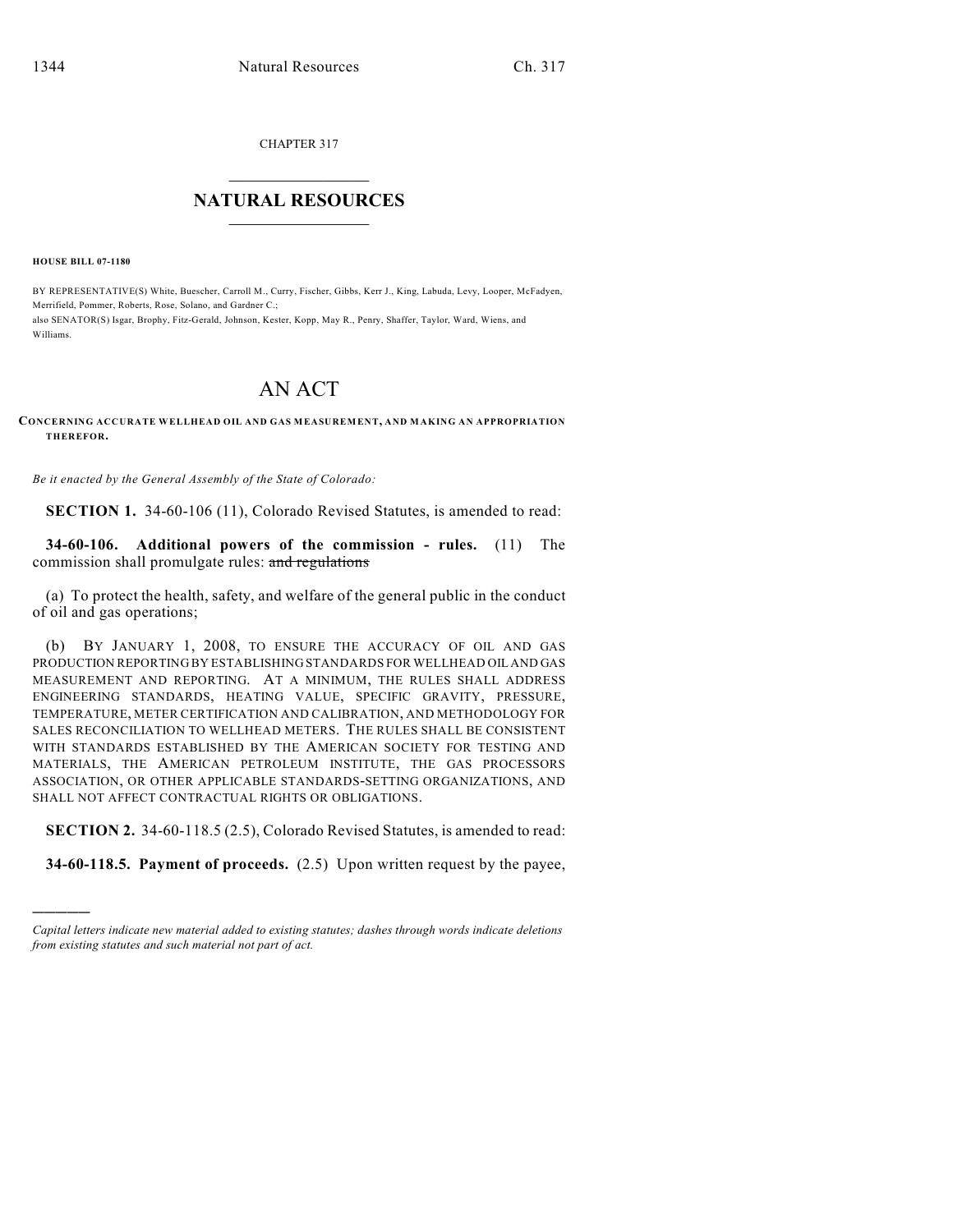CHAPTER 317

## $\mathcal{L}_\text{max}$  . The set of the set of the set of the set of the set of the set of the set of the set of the set of the set of the set of the set of the set of the set of the set of the set of the set of the set of the set **NATURAL RESOURCES**  $\frac{1}{\sqrt{2}}$  , where  $\frac{1}{\sqrt{2}}$  ,  $\frac{1}{\sqrt{2}}$  ,  $\frac{1}{\sqrt{2}}$

**HOUSE BILL 07-1180**

)))))

BY REPRESENTATIVE(S) White, Buescher, Carroll M., Curry, Fischer, Gibbs, Kerr J., King, Labuda, Levy, Looper, McFadyen, Merrifield, Pommer, Roberts, Rose, Solano, and Gardner C.; also SENATOR(S) Isgar, Brophy, Fitz-Gerald, Johnson, Kester, Kopp, May R., Penry, Shaffer, Taylor, Ward, Wiens, and Williams.

## AN ACT

## **CONCERNING ACCURATE WELLHEAD OIL AND GAS MEASUREMENT, AND MAKING AN APPROPRIATION THEREFOR.**

*Be it enacted by the General Assembly of the State of Colorado:*

**SECTION 1.** 34-60-106 (11), Colorado Revised Statutes, is amended to read:

**34-60-106. Additional powers of the commission - rules.** (11) The commission shall promulgate rules: and regulations

(a) To protect the health, safety, and welfare of the general public in the conduct of oil and gas operations;

(b) BY JANUARY 1, 2008, TO ENSURE THE ACCURACY OF OIL AND GAS PRODUCTION REPORTING BY ESTABLISHING STANDARDS FOR WELLHEAD OIL AND GAS MEASUREMENT AND REPORTING. AT A MINIMUM, THE RULES SHALL ADDRESS ENGINEERING STANDARDS, HEATING VALUE, SPECIFIC GRAVITY, PRESSURE, TEMPERATURE, METER CERTIFICATION AND CALIBRATION, AND METHODOLOGY FOR SALES RECONCILIATION TO WELLHEAD METERS. THE RULES SHALL BE CONSISTENT WITH STANDARDS ESTABLISHED BY THE AMERICAN SOCIETY FOR TESTING AND MATERIALS, THE AMERICAN PETROLEUM INSTITUTE, THE GAS PROCESSORS ASSOCIATION, OR OTHER APPLICABLE STANDARDS-SETTING ORGANIZATIONS, AND SHALL NOT AFFECT CONTRACTUAL RIGHTS OR OBLIGATIONS.

**SECTION 2.** 34-60-118.5 (2.5), Colorado Revised Statutes, is amended to read:

**34-60-118.5. Payment of proceeds.** (2.5) Upon written request by the payee,

*Capital letters indicate new material added to existing statutes; dashes through words indicate deletions from existing statutes and such material not part of act.*